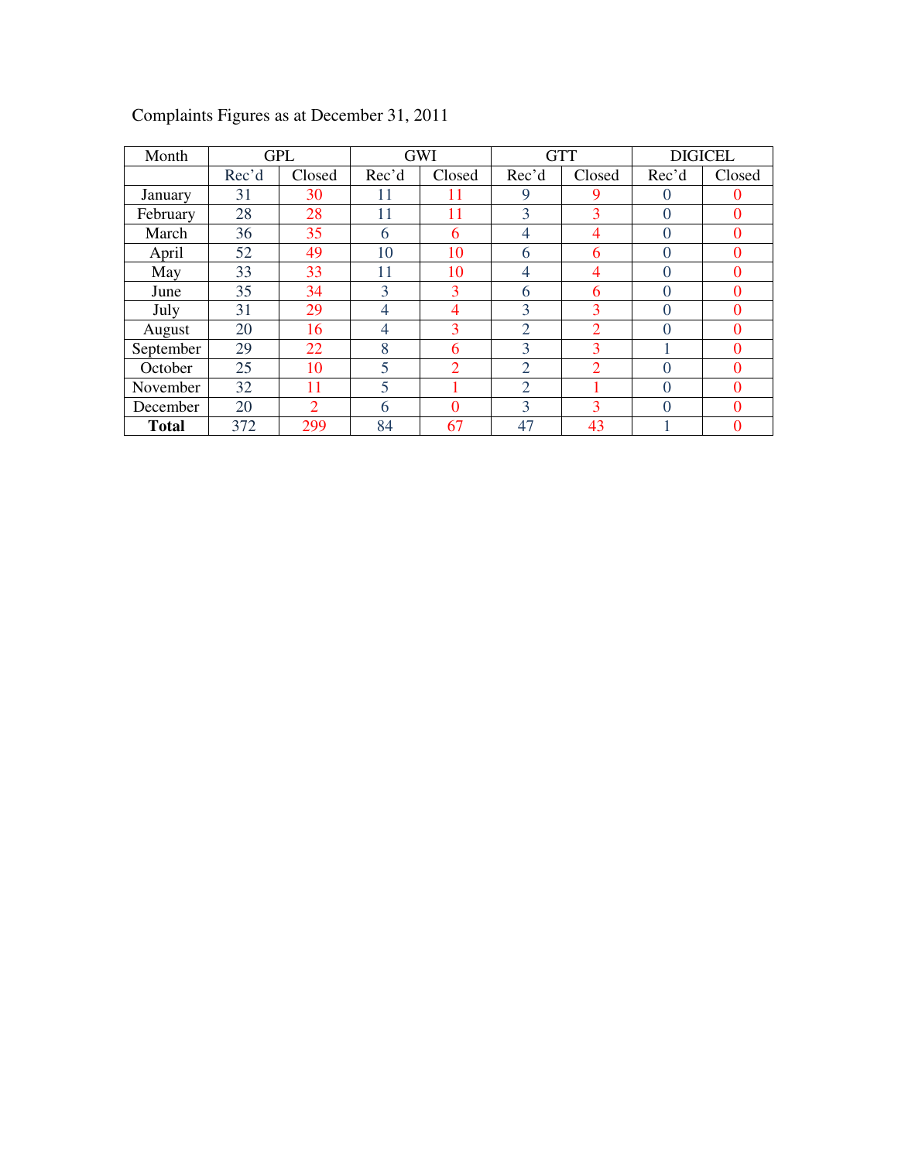| Month        |       | <b>GPL</b>     |                | <b>GWI</b>     |                | <b>GTT</b>     | <b>DIGICEL</b> |          |  |
|--------------|-------|----------------|----------------|----------------|----------------|----------------|----------------|----------|--|
|              | Rec'd | Closed         | Rec'd          | Closed         | Rec'd          | Closed         | Rec'd          | Closed   |  |
| January      | 31    | 30             | 11             | 11             | 9              | 9              | $\theta$       | $\theta$ |  |
| February     | 28    | 28             | 11             | 11             | 3              | 3              | $\Omega$       | $\Omega$ |  |
| March        | 36    | 35             | 6              | 6              | 4              | 4              | $\Omega$       | $\Omega$ |  |
| April        | 52    | 49             | 10             | 10             | 6              | 6              | $\Omega$       | $\Omega$ |  |
| May          | 33    | 33             | 11             | 10             | 4              | 4              | $\Omega$       | $\Omega$ |  |
| June         | 35    | 34             | 3              | 3              | 6              | 6              | $\Omega$       | $\Omega$ |  |
| July         | 31    | 29             | 4              | 4              | 3              | 3              | $\theta$       | $\Omega$ |  |
| August       | 20    | 16             | $\overline{4}$ | 3              | $\overline{2}$ | $\overline{2}$ | $\overline{0}$ | $\Omega$ |  |
| September    | 29    | 22             | 8              | 6              | 3              | 3              |                | $\Omega$ |  |
| October      | 25    | 10             | 5              | $\overline{2}$ | $\overline{2}$ | $\mathfrak{D}$ | $\theta$       | $\theta$ |  |
| November     | 32    | 11             | 5              |                | $\overline{2}$ |                | $\Omega$       | $\Omega$ |  |
| December     | 20    | $\overline{2}$ | 6              | $\theta$       | 3              | 3              | 0              | $\Omega$ |  |
| <b>Total</b> | 372   | 299            | 84             | 67             | 47             | 43             |                | $\Omega$ |  |

Complaints Figures as at December 31, 2011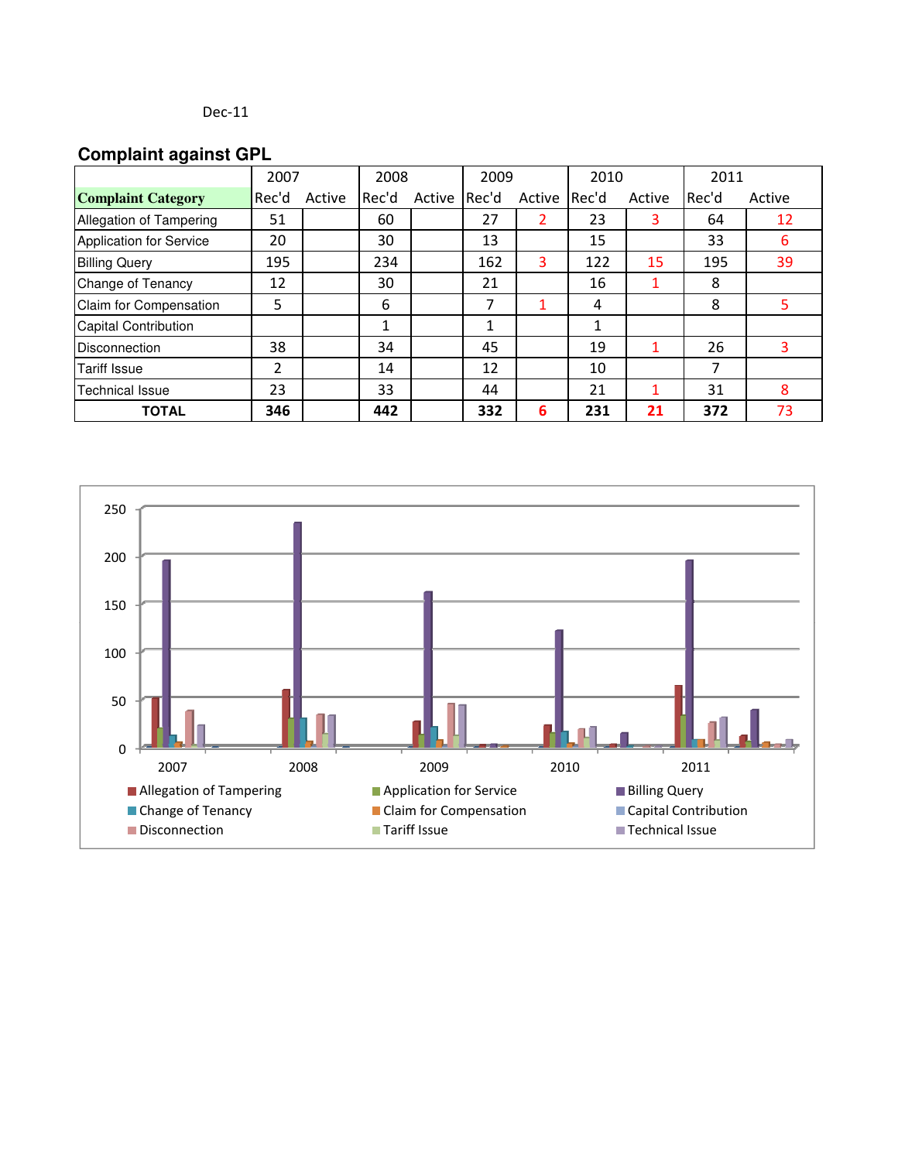# **Complaint against GPL**

|                                | 2007  |        | 2008  |        | 2009  |              | 2010 |        | 2011  |        |
|--------------------------------|-------|--------|-------|--------|-------|--------------|------|--------|-------|--------|
| <b>Complaint Category</b>      | Rec'd | Active | Rec'd | Active | Rec'd | Active Rec'd |      | Active | Rec'd | Active |
| Allegation of Tampering        | 51    |        | 60    |        | 27    |              | 23   | 3      | 64    | 12     |
| <b>Application for Service</b> | 20    |        | 30    |        | 13    |              | 15   |        | 33    | 6      |
| <b>Billing Query</b>           | 195   |        | 234   |        | 162   | 3            | 122  | 15     | 195   | 39     |
| Change of Tenancy              | 12    |        | 30    |        | 21    |              | 16   |        | 8     |        |
| Claim for Compensation         | 5     |        | 6     |        | 7     |              | 4    |        | 8     | 5.     |
| <b>Capital Contribution</b>    |       |        |       |        |       |              |      |        |       |        |
| Disconnection                  | 38    |        | 34    |        | 45    |              | 19   |        | 26    |        |
| <b>Tariff Issue</b>            | 2     |        | 14    |        | 12    |              | 10   |        | 7     |        |
| <b>Technical Issue</b>         | 23    |        | 33    |        | 44    |              | 21   |        | 31    | 8      |
| <b>TOTAL</b>                   | 346   |        | 442   |        | 332   | 6            | 231  | 21     | 372   | 73     |

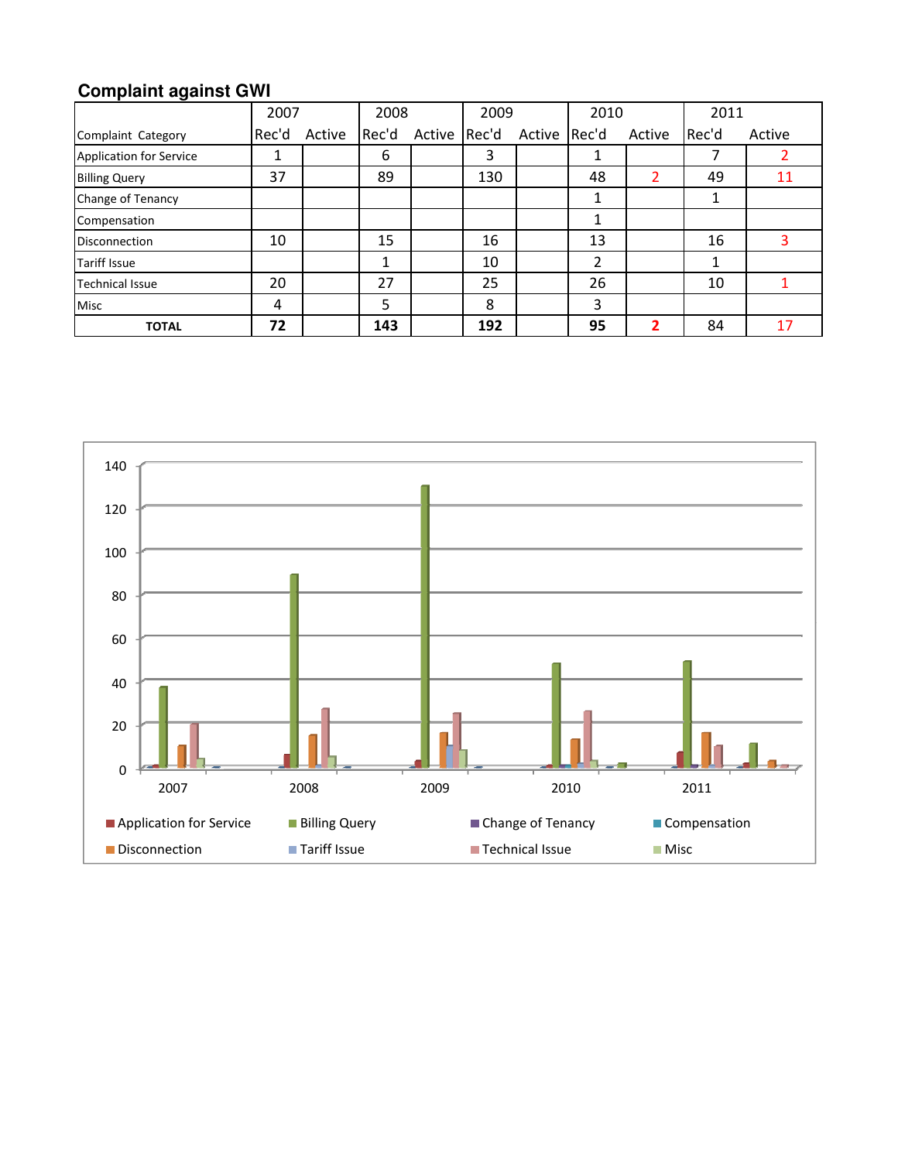# **Complaint against GWI**

|                                | 2007  |        | 2008  |        | 2009  |        | 2010  |        | 2011  |        |
|--------------------------------|-------|--------|-------|--------|-------|--------|-------|--------|-------|--------|
| Complaint Category             | Rec'd | Active | Rec'd | Active | Rec'd | Active | Rec'd | Active | Rec'd | Active |
| <b>Application for Service</b> | Ŧ.    |        | 6     |        | 3     |        | T     |        |       |        |
| <b>Billing Query</b>           | 37    |        | 89    |        | 130   |        | 48    | 2      | 49    | 11     |
| Change of Tenancy              |       |        |       |        |       |        | 1     |        |       |        |
| Compensation                   |       |        |       |        |       |        | 1     |        |       |        |
| <b>Disconnection</b>           | 10    |        | 15    |        | 16    |        | 13    |        | 16    |        |
| <b>Tariff Issue</b>            |       |        |       |        | 10    |        | 2     |        |       |        |
| <b>Technical Issue</b>         | 20    |        | 27    |        | 25    |        | 26    |        | 10    |        |
| <b>Misc</b>                    | 4     |        | 5     |        | 8     |        | 3     |        |       |        |
| <b>TOTAL</b>                   | 72    |        | 143   |        | 192   |        | 95    | 2      | 84    | 17     |

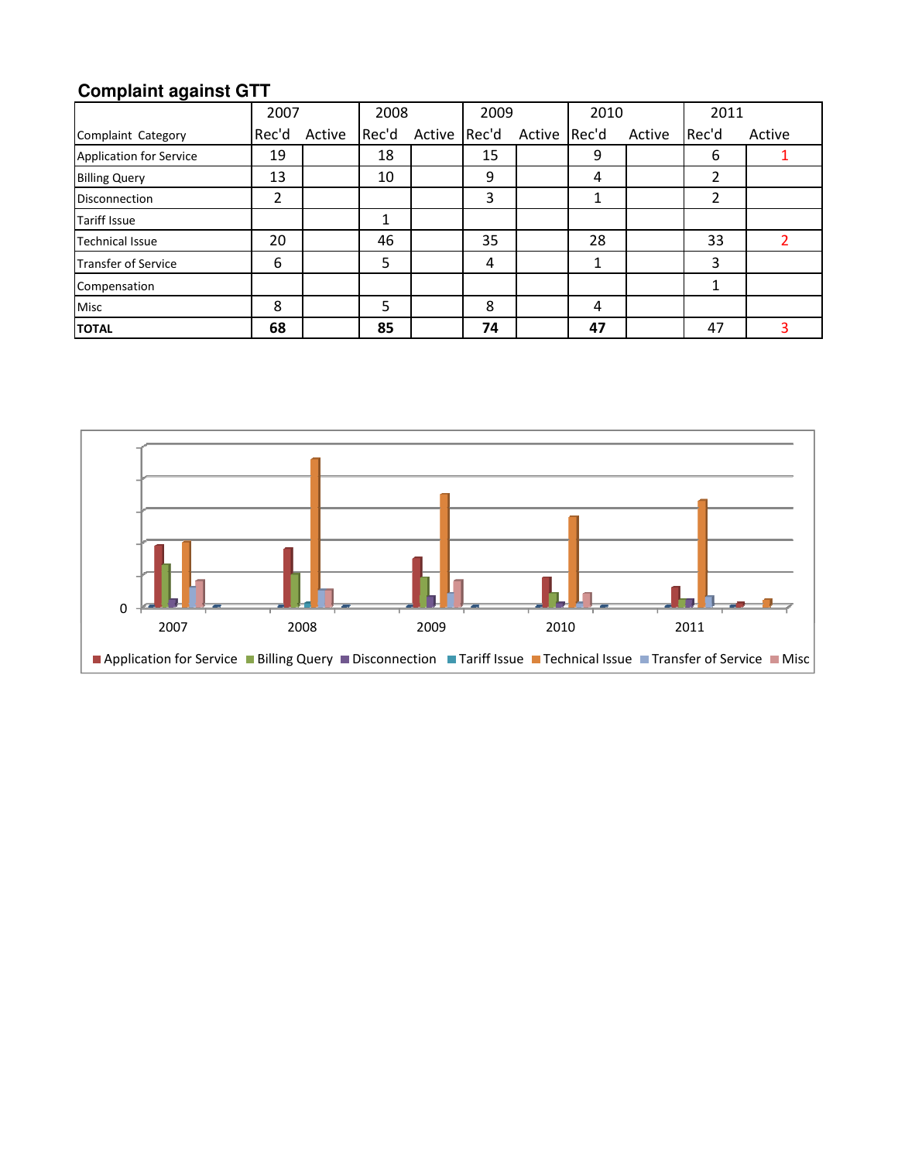# **Complaint against GTT**

|                            | 2007  |        | 2008  |        | 2009  |              | 2010 |        | 2011  |        |
|----------------------------|-------|--------|-------|--------|-------|--------------|------|--------|-------|--------|
| Complaint Category         | Rec'd | Active | Rec'd | Active | Rec'd | Active Rec'd |      | Active | Rec'd | Active |
| Application for Service    | 19    |        | 18    |        | 15    |              | 9    |        | 6     |        |
| <b>Billing Query</b>       | 13    |        | 10    |        | 9     |              | 4    |        | 2     |        |
| <b>Disconnection</b>       | 2     |        |       |        | 3     |              | 1    |        | 2     |        |
| <b>Tariff Issue</b>        |       |        |       |        |       |              |      |        |       |        |
| <b>Technical Issue</b>     | 20    |        | 46    |        | 35    |              | 28   |        | 33    |        |
| <b>Transfer of Service</b> | 6     |        | 5     |        | 4     |              | 1    |        | 3     |        |
| Compensation               |       |        |       |        |       |              |      |        | 1     |        |
| <b>Misc</b>                | 8     |        | 5     |        | 8     |              | 4    |        |       |        |
| <b>TOTAL</b>               | 68    |        | 85    |        | 74    |              | 47   |        | 47    |        |